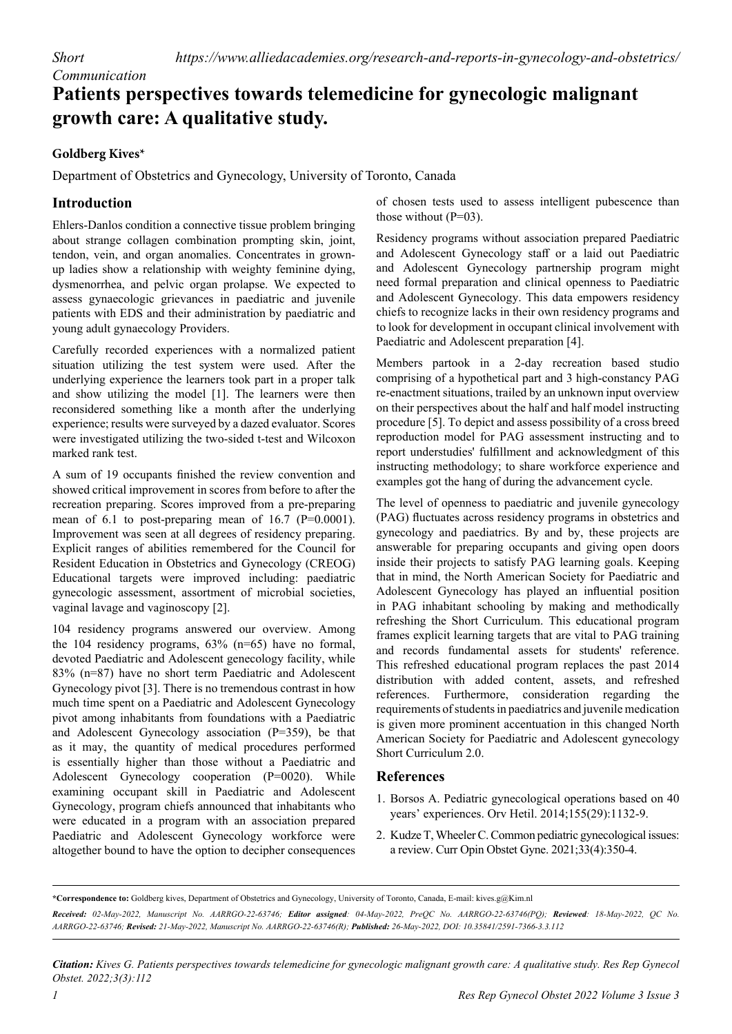## **Patients perspectives towards telemedicine for gynecologic malignant growth care: A qualitative study.**

## **Goldberg Kives\***

*Communication*

Department of Obstetrics and Gynecology, University of Toronto, Canada

## **Introduction**

Ehlers-Danlos condition a connective tissue problem bringing about strange collagen combination prompting skin, joint, tendon, vein, and organ anomalies. Concentrates in grownup ladies show a relationship with weighty feminine dying, dysmenorrhea, and pelvic organ prolapse. We expected to assess gynaecologic grievances in paediatric and juvenile patients with EDS and their administration by paediatric and young adult gynaecology Providers.

Carefully recorded experiences with a normalized patient situation utilizing the test system were used. After the underlying experience the learners took part in a proper talk and show utilizing the model [1]. The learners were then reconsidered something like a month after the underlying experience; results were surveyed by a dazed evaluator. Scores were investigated utilizing the two-sided t-test and Wilcoxon marked rank test.

A sum of 19 occupants finished the review convention and showed critical improvement in scores from before to after the recreation preparing. Scores improved from a pre-preparing mean of 6.1 to post-preparing mean of 16.7 (P=0.0001). Improvement was seen at all degrees of residency preparing. Explicit ranges of abilities remembered for the Council for Resident Education in Obstetrics and Gynecology (CREOG) Educational targets were improved including: paediatric gynecologic assessment, assortment of microbial societies, vaginal lavage and vaginoscopy [2].

104 residency programs answered our overview. Among the 104 residency programs, 63% (n=65) have no formal, devoted Paediatric and Adolescent genecology facility, while 83% (n=87) have no short term Paediatric and Adolescent Gynecology pivot [3]. There is no tremendous contrast in how much time spent on a Paediatric and Adolescent Gynecology pivot among inhabitants from foundations with a Paediatric and Adolescent Gynecology association (P=359), be that as it may, the quantity of medical procedures performed is essentially higher than those without a Paediatric and Adolescent Gynecology cooperation (P=0020). While examining occupant skill in Paediatric and Adolescent Gynecology, program chiefs announced that inhabitants who were educated in a program with an association prepared Paediatric and Adolescent Gynecology workforce were altogether bound to have the option to decipher consequences

of chosen tests used to assess intelligent pubescence than those without  $(P=03)$ .

Residency programs without association prepared Paediatric and Adolescent Gynecology staff or a laid out Paediatric and Adolescent Gynecology partnership program might need formal preparation and clinical openness to Paediatric and Adolescent Gynecology. This data empowers residency chiefs to recognize lacks in their own residency programs and to look for development in occupant clinical involvement with Paediatric and Adolescent preparation [4].

Members partook in a 2-day recreation based studio comprising of a hypothetical part and 3 high-constancy PAG re-enactment situations, trailed by an unknown input overview on their perspectives about the half and half model instructing procedure [5]. To depict and assess possibility of a cross breed reproduction model for PAG assessment instructing and to report understudies' fulfillment and acknowledgment of this instructing methodology; to share workforce experience and examples got the hang of during the advancement cycle.

The level of openness to paediatric and juvenile gynecology (PAG) fluctuates across residency programs in obstetrics and gynecology and paediatrics. By and by, these projects are answerable for preparing occupants and giving open doors inside their projects to satisfy PAG learning goals. Keeping that in mind, the North American Society for Paediatric and Adolescent Gynecology has played an influential position in PAG inhabitant schooling by making and methodically refreshing the Short Curriculum. This educational program frames explicit learning targets that are vital to PAG training and records fundamental assets for students' reference. This refreshed educational program replaces the past 2014 distribution with added content, assets, and refreshed references. Furthermore, consideration regarding the requirements of students in paediatrics and juvenile medication is given more prominent accentuation in this changed North American Society for Paediatric and Adolescent gynecology Short Curriculum 2.0.

## **References**

- 1. Borsos A. [Pediatric gynecological operations based on 40](https://akjournals.com/view/journals/650/155/29/article-p1132.xml)  [years' experiences.](https://akjournals.com/view/journals/650/155/29/article-p1132.xml) Orv Hetil. 2014;155(29):1132-9.
- 2. Kudze T, Wheeler C. [Common pediatric gynecological issues:](https://journals.lww.com/co-obgyn/Fulltext/2021/08000/Common_pediatric_gynecological_issues__a_review.16.aspx)  [a review.](https://journals.lww.com/co-obgyn/Fulltext/2021/08000/Common_pediatric_gynecological_issues__a_review.16.aspx) Curr Opin Obstet Gyne. 2021;33(4):350-4.

*Citation: Kives G. Patients perspectives towards telemedicine for gynecologic malignant growth care: A qualitative study. Res Rep Gynecol Obstet. 2022;3(3):112*

**<sup>\*</sup>Correspondence to:** Goldberg kives, Department of Obstetrics and Gynecology, University of Toronto, Canada, E-mail: kives.g@Kim.nl

*Received: 02-May-2022, Manuscript No. AARRGO-22-63746; Editor assigned: 04-May-2022, PreQC No. AARRGO-22-63746(PQ); Reviewed: 18-May-2022, QC No. AARRGO-22-63746; Revised: 21-May-2022, Manuscript No. AARRGO-22-63746(R); Published: 26-May-2022, DOI: 10.35841/2591-7366-3.3.112*